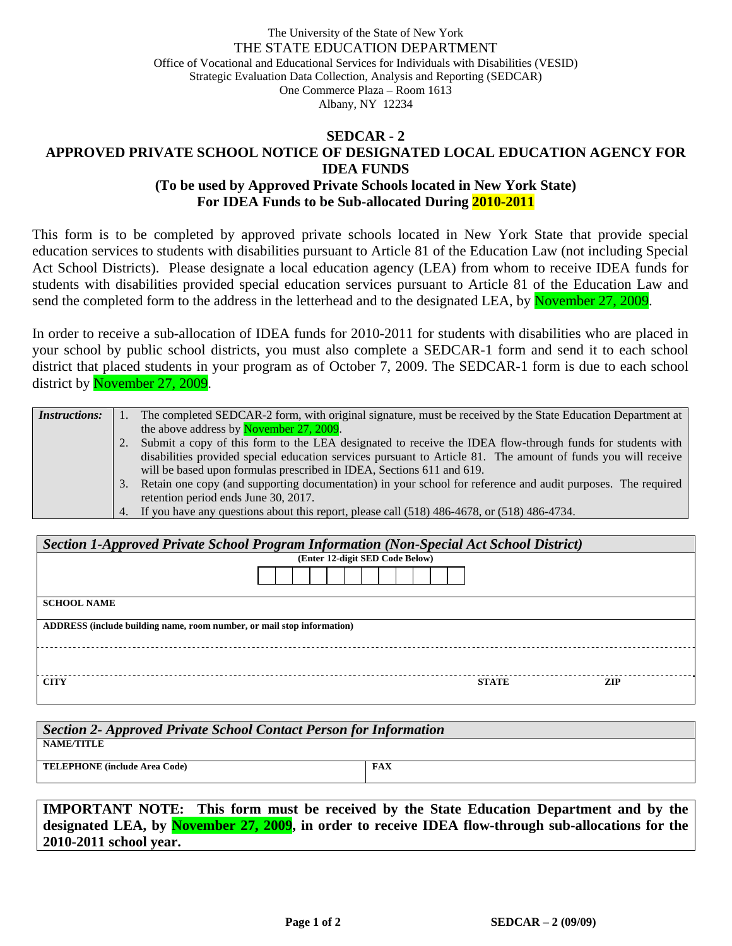## The University of the State of New York THE STATE EDUCATION DEPARTMENT Office of Vocational and Educational Services for Individuals with Disabilities (VESID) Strategic Evaluation Data Collection, Analysis and Reporting (SEDCAR) One Commerce Plaza – Room 1613 Albany, NY 12234

## **SEDCAR - 2 APPROVED PRIVATE SCHOOL NOTICE OF DESIGNATED LOCAL EDUCATION AGENCY FOR IDEA FUNDS (To be used by Approved Private Schools located in New York State) For IDEA Funds to be Sub-allocated During 2010-2011**

This form is to be completed by approved private schools located in New York State that provide special education services to students with disabilities pursuant to Article 81 of the Education Law (not including Special Act School Districts). Please designate a local education agency (LEA) from whom to receive IDEA funds for students with disabilities provided special education services pursuant to Article 81 of the Education Law and send the completed form to the address in the letterhead and to the designated LEA, by November 27, 2009.

In order to receive a sub-allocation of IDEA funds for 2010-2011 for students with disabilities who are placed in your school by public school districts, you must also complete a SEDCAR-1 form and send it to each school district that placed students in your program as of October 7, 2009. The SEDCAR-1 form is due to each school district by November 27, 2009.

| <i>Instructions:</i> |    | The completed SEDCAR-2 form, with original signature, must be received by the State Education Department at   |  |
|----------------------|----|---------------------------------------------------------------------------------------------------------------|--|
|                      |    | the above address by November 27, 2009.                                                                       |  |
|                      |    | 2. Submit a copy of this form to the LEA designated to receive the IDEA flow-through funds for students with  |  |
|                      |    | disabilities provided special education services pursuant to Article 81. The amount of funds you will receive |  |
|                      |    | will be based upon formulas prescribed in IDEA, Sections 611 and 619.                                         |  |
|                      | 3. | Retain one copy (and supporting documentation) in your school for reference and audit purposes. The required  |  |
|                      |    | retention period ends June 30, 2017.                                                                          |  |
|                      |    | 4. If you have any questions about this report, please call (518) 486-4678, or (518) 486-4734.                |  |

| Section 1-Approved Private School Program Information (Non-Special Act School District) |                                 |  |  |  |  |  |  |  |
|-----------------------------------------------------------------------------------------|---------------------------------|--|--|--|--|--|--|--|
|                                                                                         | (Enter 12-digit SED Code Below) |  |  |  |  |  |  |  |
|                                                                                         |                                 |  |  |  |  |  |  |  |
| <b>SCHOOL NAME</b>                                                                      |                                 |  |  |  |  |  |  |  |
| ADDRESS (include building name, room number, or mail stop information)                  |                                 |  |  |  |  |  |  |  |
|                                                                                         |                                 |  |  |  |  |  |  |  |
| <b>CITY</b>                                                                             | <b>STATE</b><br><b>ZIP</b>      |  |  |  |  |  |  |  |

| Section 2- Approved Private School Contact Person for Information |            |  |  |  |  |  |
|-------------------------------------------------------------------|------------|--|--|--|--|--|
| <b>NAME/TITLE</b>                                                 |            |  |  |  |  |  |
| <b>TELEPHONE</b> (include Area Code)                              | <b>FAX</b> |  |  |  |  |  |
|                                                                   |            |  |  |  |  |  |

**IMPORTANT NOTE: This form must be received by the State Education Department and by the designated LEA, by November 27, 2009, in order to receive IDEA flow-through sub-allocations for the 2010-2011 school year.**